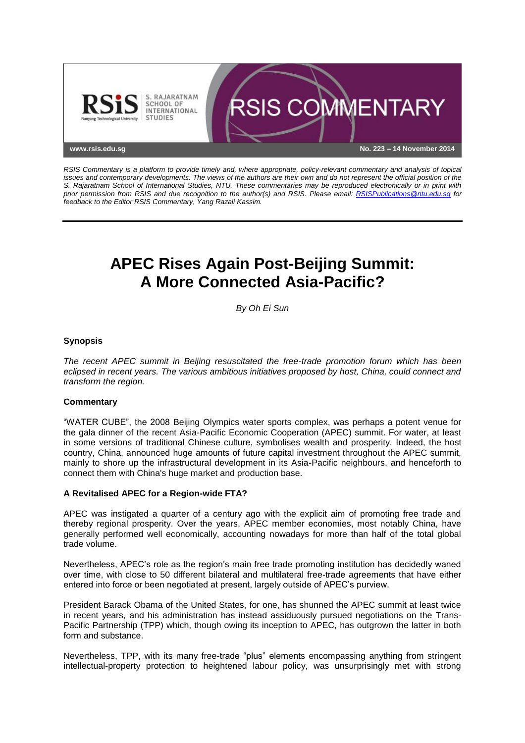

*RSIS Commentary is a platform to provide timely and, where appropriate, policy-relevant commentary and analysis of topical issues and contemporary developments. The views of the authors are their own and do not represent the official position of the S. Rajaratnam School of International Studies, NTU. These commentaries may be reproduced electronically or in print with prior permission from RSIS and due recognition to the author(s) and RSIS. Please email: [RSISPublications@ntu.edu.sg](mailto:RSISPublications@ntu.edu.sg) for feedback to the Editor RSIS Commentary, Yang Razali Kassim.*

# **APEC Rises Again Post-Beijing Summit: A More Connected Asia-Pacific?**

*By Oh Ei Sun*

# **Synopsis**

*The recent APEC summit in Beijing resuscitated the free-trade promotion forum which has been eclipsed in recent years. The various ambitious initiatives proposed by host, China, could connect and transform the region.*

# **Commentary**

"WATER CUBE", the 2008 Beijing Olympics water sports complex, was perhaps a potent venue for the gala dinner of the recent Asia-Pacific Economic Cooperation (APEC) summit. For water, at least in some versions of traditional Chinese culture, symbolises wealth and prosperity. Indeed, the host country, China, announced huge amounts of future capital investment throughout the APEC summit, mainly to shore up the infrastructural development in its Asia-Pacific neighbours, and henceforth to connect them with China's huge market and production base.

### **A Revitalised APEC for a Region-wide FTA?**

APEC was instigated a quarter of a century ago with the explicit aim of promoting free trade and thereby regional prosperity. Over the years, APEC member economies, most notably China, have generally performed well economically, accounting nowadays for more than half of the total global trade volume.

Nevertheless, APEC's role as the region's main free trade promoting institution has decidedly waned over time, with close to 50 different bilateral and multilateral free-trade agreements that have either entered into force or been negotiated at present, largely outside of APEC's purview.

President Barack Obama of the United States, for one, has shunned the APEC summit at least twice in recent years, and his administration has instead assiduously pursued negotiations on the Trans-Pacific Partnership (TPP) which, though owing its inception to APEC, has outgrown the latter in both form and substance.

Nevertheless, TPP, with its many free-trade "plus" elements encompassing anything from stringent intellectual-property protection to heightened labour policy, was unsurprisingly met with strong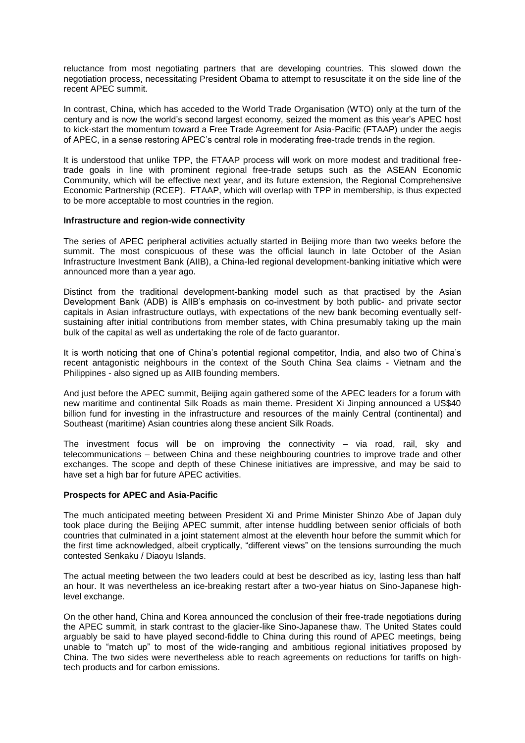reluctance from most negotiating partners that are developing countries. This slowed down the negotiation process, necessitating President Obama to attempt to resuscitate it on the side line of the recent APEC summit.

In contrast, China, which has acceded to the World Trade Organisation (WTO) only at the turn of the century and is now the world's second largest economy, seized the moment as this year's APEC host to kick-start the momentum toward a Free Trade Agreement for Asia-Pacific (FTAAP) under the aegis of APEC, in a sense restoring APEC's central role in moderating free-trade trends in the region.

It is understood that unlike TPP, the FTAAP process will work on more modest and traditional freetrade goals in line with prominent regional free-trade setups such as the ASEAN Economic Community, which will be effective next year, and its future extension, the Regional Comprehensive Economic Partnership (RCEP). FTAAP, which will overlap with TPP in membership, is thus expected to be more acceptable to most countries in the region.

### **Infrastructure and region-wide connectivity**

The series of APEC peripheral activities actually started in Beijing more than two weeks before the summit. The most conspicuous of these was the official launch in late October of the Asian Infrastructure Investment Bank (AIIB), a China-led regional development-banking initiative which were announced more than a year ago.

Distinct from the traditional development-banking model such as that practised by the Asian Development Bank (ADB) is AIIB's emphasis on co-investment by both public- and private sector capitals in Asian infrastructure outlays, with expectations of the new bank becoming eventually selfsustaining after initial contributions from member states, with China presumably taking up the main bulk of the capital as well as undertaking the role of de facto guarantor.

It is worth noticing that one of China's potential regional competitor, India, and also two of China's recent antagonistic neighbours in the context of the South China Sea claims - Vietnam and the Philippines - also signed up as AIIB founding members.

And just before the APEC summit, Beijing again gathered some of the APEC leaders for a forum with new maritime and continental Silk Roads as main theme. President Xi Jinping announced a US\$40 billion fund for investing in the infrastructure and resources of the mainly Central (continental) and Southeast (maritime) Asian countries along these ancient Silk Roads.

The investment focus will be on improving the connectivity – via road, rail, sky and telecommunications – between China and these neighbouring countries to improve trade and other exchanges. The scope and depth of these Chinese initiatives are impressive, and may be said to have set a high bar for future APEC activities.

### **Prospects for APEC and Asia-Pacific**

The much anticipated meeting between President Xi and Prime Minister Shinzo Abe of Japan duly took place during the Beijing APEC summit, after intense huddling between senior officials of both countries that culminated in a joint statement almost at the eleventh hour before the summit which for the first time acknowledged, albeit cryptically, "different views" on the tensions surrounding the much contested Senkaku / Diaoyu Islands.

The actual meeting between the two leaders could at best be described as icy, lasting less than half an hour. It was nevertheless an ice-breaking restart after a two-year hiatus on Sino-Japanese highlevel exchange.

On the other hand, China and Korea announced the conclusion of their free-trade negotiations during the APEC summit, in stark contrast to the glacier-like Sino-Japanese thaw. The United States could arguably be said to have played second-fiddle to China during this round of APEC meetings, being unable to "match up" to most of the wide-ranging and ambitious regional initiatives proposed by China. The two sides were nevertheless able to reach agreements on reductions for tariffs on hightech products and for carbon emissions.